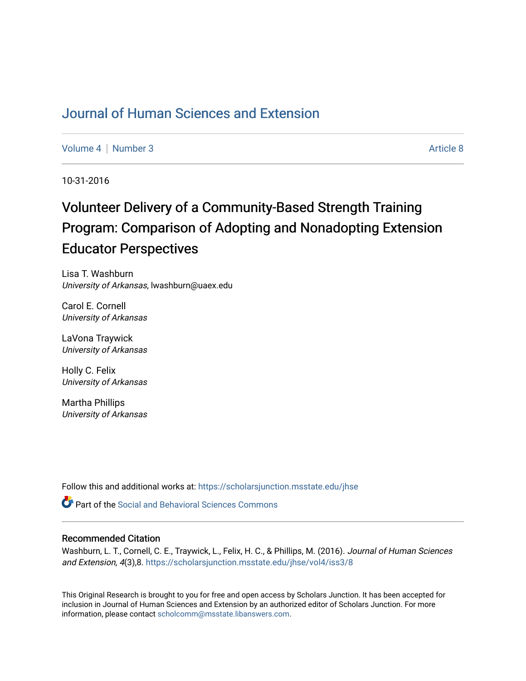## [Journal of Human Sciences and Extension](https://scholarsjunction.msstate.edu/jhse)

[Volume 4](https://scholarsjunction.msstate.edu/jhse/vol4) | [Number 3](https://scholarsjunction.msstate.edu/jhse/vol4/iss3) Article 8

10-31-2016

# Volunteer Delivery of a Community-Based Strength Training Program: Comparison of Adopting and Nonadopting Extension Educator Perspectives

Lisa T. Washburn University of Arkansas, lwashburn@uaex.edu

Carol E. Cornell University of Arkansas

LaVona Traywick University of Arkansas

Holly C. Felix University of Arkansas

Martha Phillips University of Arkansas

Follow this and additional works at: [https://scholarsjunction.msstate.edu/jhse](https://scholarsjunction.msstate.edu/jhse?utm_source=scholarsjunction.msstate.edu%2Fjhse%2Fvol4%2Fiss3%2F8&utm_medium=PDF&utm_campaign=PDFCoverPages)

Part of the [Social and Behavioral Sciences Commons](http://network.bepress.com/hgg/discipline/316?utm_source=scholarsjunction.msstate.edu%2Fjhse%2Fvol4%2Fiss3%2F8&utm_medium=PDF&utm_campaign=PDFCoverPages) 

#### Recommended Citation

Washburn, L. T., Cornell, C. E., Traywick, L., Felix, H. C., & Phillips, M. (2016). Journal of Human Sciences and Extension, 4(3),8. [https://scholarsjunction.msstate.edu/jhse/vol4/iss3/8](https://scholarsjunction.msstate.edu/jhse/vol4/iss3/8?utm_source=scholarsjunction.msstate.edu%2Fjhse%2Fvol4%2Fiss3%2F8&utm_medium=PDF&utm_campaign=PDFCoverPages)

This Original Research is brought to you for free and open access by Scholars Junction. It has been accepted for inclusion in Journal of Human Sciences and Extension by an authorized editor of Scholars Junction. For more information, please contact [scholcomm@msstate.libanswers.com](mailto:scholcomm@msstate.libanswers.com).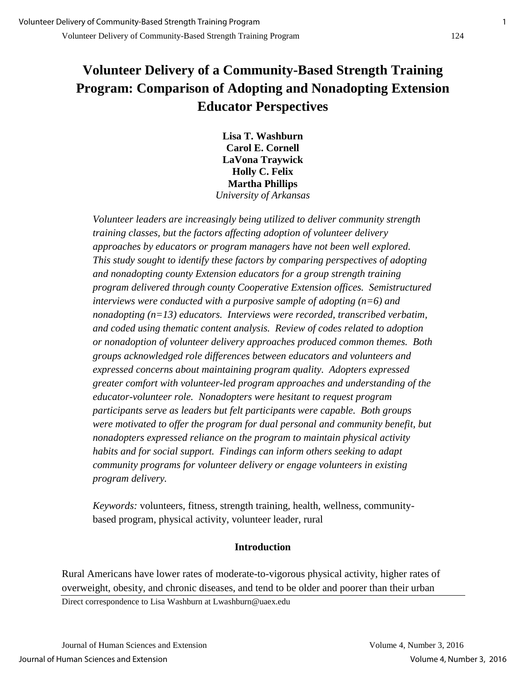## **Volunteer Delivery of a Community-Based Strength Training Program: Comparison of Adopting and Nonadopting Extension Educator Perspectives**

**Lisa T. Washburn Carol E. Cornell LaVona Traywick Holly C. Felix Martha Phillips**  *University of Arkansas*

*Volunteer leaders are increasingly being utilized to deliver community strength training classes, but the factors affecting adoption of volunteer delivery approaches by educators or program managers have not been well explored. This study sought to identify these factors by comparing perspectives of adopting and nonadopting county Extension educators for a group strength training program delivered through county Cooperative Extension offices. Semistructured interviews were conducted with a purposive sample of adopting (n=6) and nonadopting (n=13) educators. Interviews were recorded, transcribed verbatim, and coded using thematic content analysis. Review of codes related to adoption or nonadoption of volunteer delivery approaches produced common themes. Both groups acknowledged role differences between educators and volunteers and expressed concerns about maintaining program quality. Adopters expressed greater comfort with volunteer-led program approaches and understanding of the educator-volunteer role. Nonadopters were hesitant to request program participants serve as leaders but felt participants were capable. Both groups*  were motivated to offer the program for dual personal and community benefit, but *nonadopters expressed reliance on the program to maintain physical activity habits and for social support. Findings can inform others seeking to adapt community programs for volunteer delivery or engage volunteers in existing program delivery.* 

*Keywords:* volunteers, fitness, strength training, health, wellness, communitybased program, physical activity, volunteer leader, rural

## **Introduction**

Rural Americans have lower rates of moderate-to-vigorous physical activity, higher rates of overweight, obesity, and chronic diseases, and tend to be older and poorer than their urban Direct correspondence to Lisa Washburn at Lwashburn@uaex.edu

Journal of Human Sciences and Extension Volume 4, Number 3, 2016 Journal of Human Sciences and Extension Volume 4, Number 3, 2016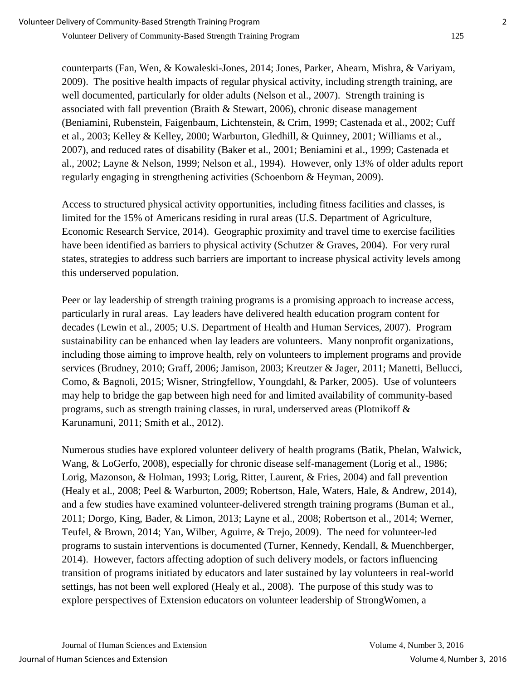counterparts (Fan, Wen, & Kowaleski-Jones, 2014; Jones, Parker, Ahearn, Mishra, & Variyam, 2009). The positive health impacts of regular physical activity, including strength training, are well documented, particularly for older adults (Nelson et al., 2007). Strength training is associated with fall prevention (Braith & Stewart, 2006), chronic disease management (Beniamini, Rubenstein, Faigenbaum, Lichtenstein, & Crim, 1999; Castenada et al., 2002; Cuff et al., 2003; Kelley & Kelley, 2000; Warburton, Gledhill, & Quinney, 2001; Williams et al., 2007), and reduced rates of disability (Baker et al., 2001; Beniamini et al., 1999; Castenada et al., 2002; Layne & Nelson, 1999; Nelson et al., 1994). However, only 13% of older adults report regularly engaging in strengthening activities (Schoenborn & Heyman, 2009).

Access to structured physical activity opportunities, including fitness facilities and classes, is limited for the 15% of Americans residing in rural areas (U.S. Department of Agriculture, Economic Research Service, 2014). Geographic proximity and travel time to exercise facilities have been identified as barriers to physical activity (Schutzer & Graves, 2004). For very rural states, strategies to address such barriers are important to increase physical activity levels among this underserved population.

Peer or lay leadership of strength training programs is a promising approach to increase access, particularly in rural areas. Lay leaders have delivered health education program content for decades (Lewin et al., 2005; U.S. Department of Health and Human Services, 2007). Program sustainability can be enhanced when lay leaders are volunteers. Many nonprofit organizations, including those aiming to improve health, rely on volunteers to implement programs and provide services (Brudney, 2010; Graff, 2006; Jamison, 2003; Kreutzer & Jager, 2011; Manetti, Bellucci, Como, & Bagnoli, 2015; Wisner, Stringfellow, Youngdahl, & Parker, 2005). Use of volunteers may help to bridge the gap between high need for and limited availability of community-based programs, such as strength training classes, in rural, underserved areas (Plotnikoff & Karunamuni, 2011; Smith et al., 2012).

Numerous studies have explored volunteer delivery of health programs (Batik, Phelan, Walwick, Wang, & LoGerfo, 2008), especially for chronic disease self-management (Lorig et al., 1986; Lorig, Mazonson, & Holman, 1993; Lorig, Ritter, Laurent, & Fries, 2004) and fall prevention (Healy et al., 2008; Peel & Warburton, 2009; Robertson, Hale, Waters, Hale, & Andrew, 2014), and a few studies have examined volunteer-delivered strength training programs (Buman et al., 2011; Dorgo, King, Bader, & Limon, 2013; Layne et al., 2008; Robertson et al., 2014; Werner, Teufel, & Brown, 2014; Yan, Wilber, Aguirre, & Trejo, 2009). The need for volunteer-led programs to sustain interventions is documented (Turner, Kennedy, Kendall, & Muenchberger, 2014). However, factors affecting adoption of such delivery models, or factors influencing transition of programs initiated by educators and later sustained by lay volunteers in real-world settings, has not been well explored (Healy et al., 2008). The purpose of this study was to explore perspectives of Extension educators on volunteer leadership of StrongWomen, a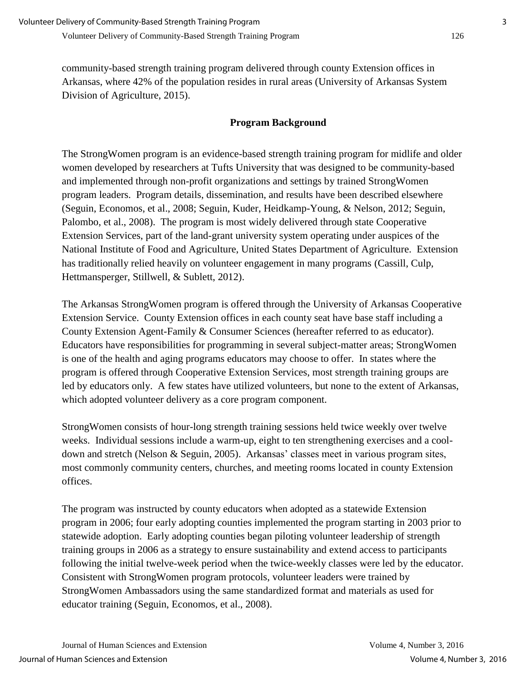community-based strength training program delivered through county Extension offices in Arkansas, where 42% of the population resides in rural areas (University of Arkansas System Division of Agriculture, 2015).

### **Program Background**

The StrongWomen program is an evidence-based strength training program for midlife and older women developed by researchers at Tufts University that was designed to be community-based and implemented through non-profit organizations and settings by trained StrongWomen program leaders. Program details, dissemination, and results have been described elsewhere (Seguin, Economos, et al., 2008; Seguin, Kuder, Heidkamp-Young, & Nelson, 2012; Seguin, Palombo, et al., 2008). The program is most widely delivered through state Cooperative Extension Services, part of the land-grant university system operating under auspices of the National Institute of Food and Agriculture, United States Department of Agriculture. Extension has traditionally relied heavily on volunteer engagement in many programs (Cassill, Culp, Hettmansperger, Stillwell, & Sublett, 2012).

The Arkansas StrongWomen program is offered through the University of Arkansas Cooperative Extension Service. County Extension offices in each county seat have base staff including a County Extension Agent-Family & Consumer Sciences (hereafter referred to as educator). Educators have responsibilities for programming in several subject-matter areas; StrongWomen is one of the health and aging programs educators may choose to offer. In states where the program is offered through Cooperative Extension Services, most strength training groups are led by educators only. A few states have utilized volunteers, but none to the extent of Arkansas, which adopted volunteer delivery as a core program component.

StrongWomen consists of hour-long strength training sessions held twice weekly over twelve weeks. Individual sessions include a warm-up, eight to ten strengthening exercises and a cooldown and stretch (Nelson & Seguin, 2005). Arkansas' classes meet in various program sites, most commonly community centers, churches, and meeting rooms located in county Extension offices.

The program was instructed by county educators when adopted as a statewide Extension program in 2006; four early adopting counties implemented the program starting in 2003 prior to statewide adoption. Early adopting counties began piloting volunteer leadership of strength training groups in 2006 as a strategy to ensure sustainability and extend access to participants following the initial twelve-week period when the twice-weekly classes were led by the educator. Consistent with StrongWomen program protocols, volunteer leaders were trained by StrongWomen Ambassadors using the same standardized format and materials as used for educator training (Seguin, Economos, et al., 2008).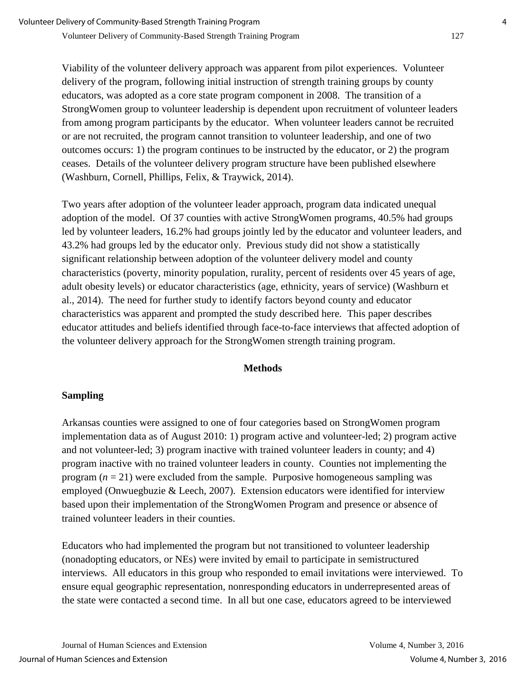Viability of the volunteer delivery approach was apparent from pilot experiences. Volunteer delivery of the program, following initial instruction of strength training groups by county educators, was adopted as a core state program component in 2008. The transition of a StrongWomen group to volunteer leadership is dependent upon recruitment of volunteer leaders from among program participants by the educator. When volunteer leaders cannot be recruited or are not recruited, the program cannot transition to volunteer leadership, and one of two outcomes occurs: 1) the program continues to be instructed by the educator, or 2) the program ceases. Details of the volunteer delivery program structure have been published elsewhere (Washburn, Cornell, Phillips, Felix, & Traywick, 2014).

Two years after adoption of the volunteer leader approach, program data indicated unequal adoption of the model. Of 37 counties with active StrongWomen programs, 40.5% had groups led by volunteer leaders, 16.2% had groups jointly led by the educator and volunteer leaders, and 43.2% had groups led by the educator only. Previous study did not show a statistically significant relationship between adoption of the volunteer delivery model and county characteristics (poverty, minority population, rurality, percent of residents over 45 years of age, adult obesity levels) or educator characteristics (age, ethnicity, years of service) (Washburn et al., 2014). The need for further study to identify factors beyond county and educator characteristics was apparent and prompted the study described here. This paper describes educator attitudes and beliefs identified through face-to-face interviews that affected adoption of the volunteer delivery approach for the StrongWomen strength training program.

#### **Methods**

## **Sampling**

Arkansas counties were assigned to one of four categories based on StrongWomen program implementation data as of August 2010: 1) program active and volunteer-led; 2) program active and not volunteer-led; 3) program inactive with trained volunteer leaders in county; and 4) program inactive with no trained volunteer leaders in county. Counties not implementing the program  $(n = 21)$  were excluded from the sample. Purposive homogeneous sampling was employed (Onwuegbuzie & Leech, 2007). Extension educators were identified for interview based upon their implementation of the StrongWomen Program and presence or absence of trained volunteer leaders in their counties.

Educators who had implemented the program but not transitioned to volunteer leadership (nonadopting educators, or NEs) were invited by email to participate in semistructured interviews. All educators in this group who responded to email invitations were interviewed. To ensure equal geographic representation, nonresponding educators in underrepresented areas of the state were contacted a second time. In all but one case, educators agreed to be interviewed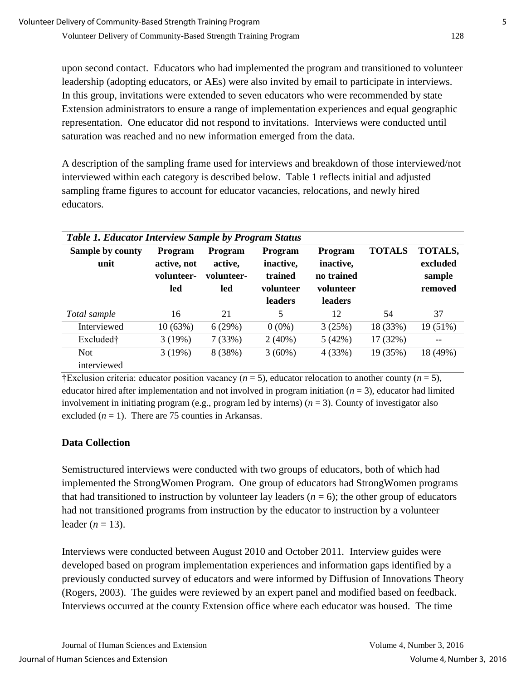upon second contact. Educators who had implemented the program and transitioned to volunteer leadership (adopting educators, or AEs) were also invited by email to participate in interviews. In this group, invitations were extended to seven educators who were recommended by state Extension administrators to ensure a range of implementation experiences and equal geographic representation. One educator did not respond to invitations. Interviews were conducted until saturation was reached and no new information emerged from the data.

A description of the sampling frame used for interviews and breakdown of those interviewed/not interviewed within each category is described below. Table 1 reflects initial and adjusted sampling frame figures to account for educator vacancies, relocations, and newly hired educators.

| <b>Table 1. Educator Interview Sample by Program Status</b> |                                                    |                                         |                                                                |                                                            |               |                                          |
|-------------------------------------------------------------|----------------------------------------------------|-----------------------------------------|----------------------------------------------------------------|------------------------------------------------------------|---------------|------------------------------------------|
| Sample by county<br>unit                                    | <b>Program</b><br>active, not<br>volunteer-<br>led | Program<br>active,<br>volunteer-<br>led | <b>Program</b><br>inactive,<br>trained<br>volunteer<br>leaders | Program<br>inactive,<br>no trained<br>volunteer<br>leaders | <b>TOTALS</b> | TOTALS,<br>excluded<br>sample<br>removed |
| Total sample                                                | 16                                                 | 21                                      | 5                                                              | 12                                                         | 54            | 37                                       |
| Interviewed                                                 | 10(63%)                                            | 6(29%)                                  | $0(0\%)$                                                       | 3(25%)                                                     | 18 (33%)      | 19 (51%)                                 |
| Excluded†                                                   | 3(19%)                                             | 7(33%)                                  | $2(40\%)$                                                      | 5(42%)                                                     | 17 (32%)      |                                          |
| <b>Not</b><br>interviewed                                   | 3(19%)                                             | 8 (38%)                                 | $3(60\%)$                                                      | 4(33%)                                                     | 19 (35%)      | 18 (49%)                                 |

†Exclusion criteria: educator position vacancy (*n* = 5), educator relocation to another county (*n* = 5), educator hired after implementation and not involved in program initiation  $(n = 3)$ , educator had limited involvement in initiating program (e.g., program led by interns)  $(n = 3)$ . County of investigator also excluded  $(n = 1)$ . There are 75 counties in Arkansas.

## **Data Collection**

Semistructured interviews were conducted with two groups of educators, both of which had implemented the StrongWomen Program. One group of educators had StrongWomen programs that had transitioned to instruction by volunteer lay leaders  $(n = 6)$ ; the other group of educators had not transitioned programs from instruction by the educator to instruction by a volunteer leader  $(n = 13)$ .

Interviews were conducted between August 2010 and October 2011. Interview guides were developed based on program implementation experiences and information gaps identified by a previously conducted survey of educators and were informed by Diffusion of Innovations Theory (Rogers, 2003). The guides were reviewed by an expert panel and modified based on feedback. Interviews occurred at the county Extension office where each educator was housed. The time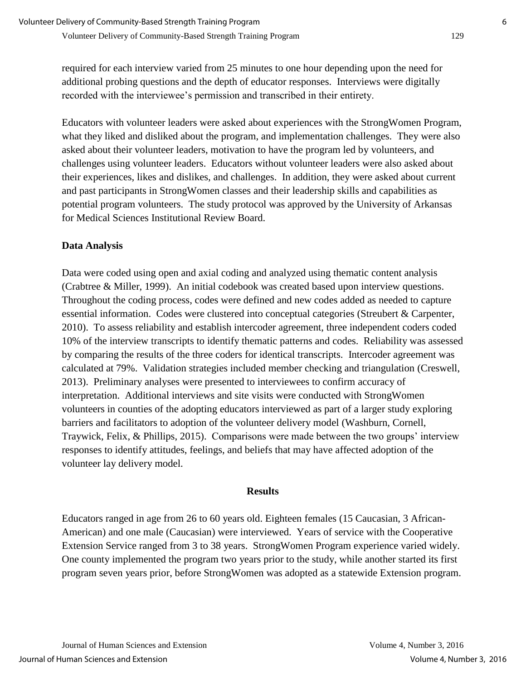required for each interview varied from 25 minutes to one hour depending upon the need for additional probing questions and the depth of educator responses. Interviews were digitally recorded with the interviewee's permission and transcribed in their entirety.

Educators with volunteer leaders were asked about experiences with the StrongWomen Program, what they liked and disliked about the program, and implementation challenges. They were also asked about their volunteer leaders, motivation to have the program led by volunteers, and challenges using volunteer leaders. Educators without volunteer leaders were also asked about their experiences, likes and dislikes, and challenges. In addition, they were asked about current and past participants in StrongWomen classes and their leadership skills and capabilities as potential program volunteers. The study protocol was approved by the University of Arkansas for Medical Sciences Institutional Review Board.

#### **Data Analysis**

Data were coded using open and axial coding and analyzed using thematic content analysis (Crabtree & Miller, 1999). An initial codebook was created based upon interview questions. Throughout the coding process, codes were defined and new codes added as needed to capture essential information. Codes were clustered into conceptual categories (Streubert & Carpenter, 2010). To assess reliability and establish intercoder agreement, three independent coders coded 10% of the interview transcripts to identify thematic patterns and codes. Reliability was assessed by comparing the results of the three coders for identical transcripts. Intercoder agreement was calculated at 79%. Validation strategies included member checking and triangulation (Creswell, 2013). Preliminary analyses were presented to interviewees to confirm accuracy of interpretation. Additional interviews and site visits were conducted with StrongWomen volunteers in counties of the adopting educators interviewed as part of a larger study exploring barriers and facilitators to adoption of the volunteer delivery model (Washburn, Cornell, Traywick, Felix, & Phillips, 2015). Comparisons were made between the two groups' interview responses to identify attitudes, feelings, and beliefs that may have affected adoption of the volunteer lay delivery model.

#### **Results**

Educators ranged in age from 26 to 60 years old. Eighteen females (15 Caucasian, 3 African-American) and one male (Caucasian) were interviewed. Years of service with the Cooperative Extension Service ranged from 3 to 38 years. StrongWomen Program experience varied widely. One county implemented the program two years prior to the study, while another started its first program seven years prior, before StrongWomen was adopted as a statewide Extension program.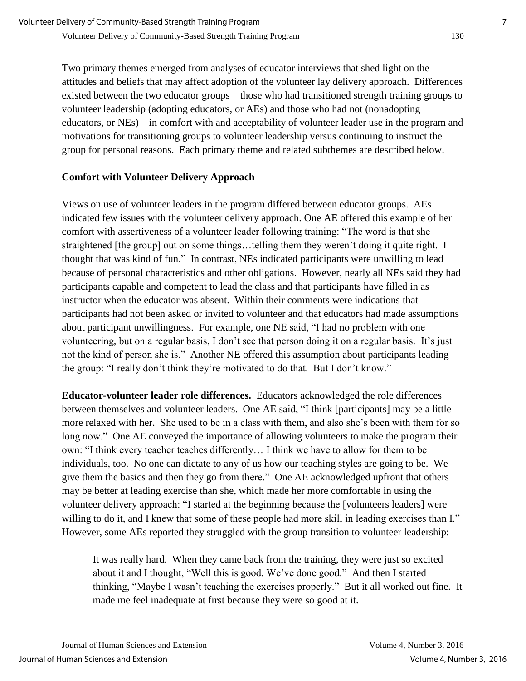Two primary themes emerged from analyses of educator interviews that shed light on the attitudes and beliefs that may affect adoption of the volunteer lay delivery approach. Differences existed between the two educator groups – those who had transitioned strength training groups to volunteer leadership (adopting educators, or AEs) and those who had not (nonadopting educators, or NEs) – in comfort with and acceptability of volunteer leader use in the program and motivations for transitioning groups to volunteer leadership versus continuing to instruct the group for personal reasons. Each primary theme and related subthemes are described below.

## **Comfort with Volunteer Delivery Approach**

Views on use of volunteer leaders in the program differed between educator groups. AEs indicated few issues with the volunteer delivery approach. One AE offered this example of her comfort with assertiveness of a volunteer leader following training: "The word is that she straightened [the group] out on some things…telling them they weren't doing it quite right. I thought that was kind of fun." In contrast, NEs indicated participants were unwilling to lead because of personal characteristics and other obligations. However, nearly all NEs said they had participants capable and competent to lead the class and that participants have filled in as instructor when the educator was absent. Within their comments were indications that participants had not been asked or invited to volunteer and that educators had made assumptions about participant unwillingness. For example, one NE said, "I had no problem with one volunteering, but on a regular basis, I don't see that person doing it on a regular basis. It's just not the kind of person she is." Another NE offered this assumption about participants leading the group: "I really don't think they're motivated to do that. But I don't know."

**Educator-volunteer leader role differences.** Educators acknowledged the role differences between themselves and volunteer leaders. One AE said, "I think [participants] may be a little more relaxed with her. She used to be in a class with them, and also she's been with them for so long now." One AE conveyed the importance of allowing volunteers to make the program their own: "I think every teacher teaches differently… I think we have to allow for them to be individuals, too. No one can dictate to any of us how our teaching styles are going to be. We give them the basics and then they go from there." One AE acknowledged upfront that others may be better at leading exercise than she, which made her more comfortable in using the volunteer delivery approach: "I started at the beginning because the [volunteers leaders] were willing to do it, and I knew that some of these people had more skill in leading exercises than I." However, some AEs reported they struggled with the group transition to volunteer leadership:

It was really hard. When they came back from the training, they were just so excited about it and I thought, "Well this is good. We've done good." And then I started thinking, "Maybe I wasn't teaching the exercises properly." But it all worked out fine. It made me feel inadequate at first because they were so good at it.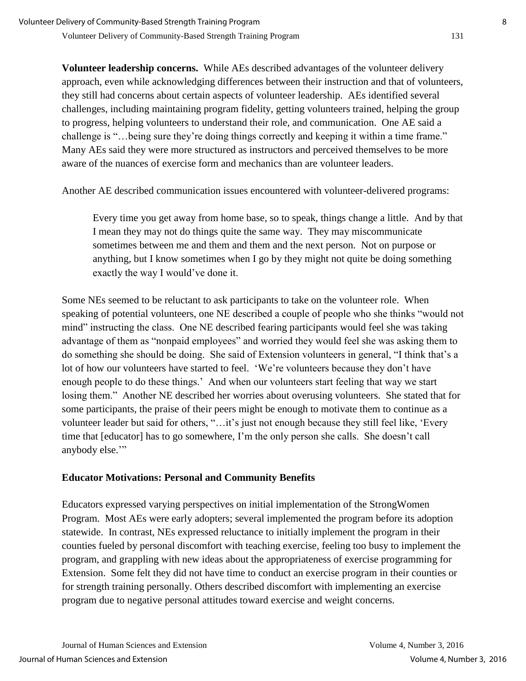**Volunteer leadership concerns.** While AEs described advantages of the volunteer delivery approach, even while acknowledging differences between their instruction and that of volunteers, they still had concerns about certain aspects of volunteer leadership. AEs identified several challenges, including maintaining program fidelity, getting volunteers trained, helping the group to progress, helping volunteers to understand their role, and communication. One AE said a challenge is "…being sure they're doing things correctly and keeping it within a time frame." Many AEs said they were more structured as instructors and perceived themselves to be more aware of the nuances of exercise form and mechanics than are volunteer leaders.

Another AE described communication issues encountered with volunteer-delivered programs:

Every time you get away from home base, so to speak, things change a little. And by that I mean they may not do things quite the same way. They may miscommunicate sometimes between me and them and them and the next person. Not on purpose or anything, but I know sometimes when I go by they might not quite be doing something exactly the way I would've done it.

Some NEs seemed to be reluctant to ask participants to take on the volunteer role. When speaking of potential volunteers, one NE described a couple of people who she thinks "would not mind" instructing the class. One NE described fearing participants would feel she was taking advantage of them as "nonpaid employees" and worried they would feel she was asking them to do something she should be doing. She said of Extension volunteers in general, "I think that's a lot of how our volunteers have started to feel. 'We're volunteers because they don't have enough people to do these things.' And when our volunteers start feeling that way we start losing them." Another NE described her worries about overusing volunteers. She stated that for some participants, the praise of their peers might be enough to motivate them to continue as a volunteer leader but said for others, "…it's just not enough because they still feel like, 'Every time that [educator] has to go somewhere, I'm the only person she calls. She doesn't call anybody else.'"

#### **Educator Motivations: Personal and Community Benefits**

Educators expressed varying perspectives on initial implementation of the StrongWomen Program. Most AEs were early adopters; several implemented the program before its adoption statewide. In contrast, NEs expressed reluctance to initially implement the program in their counties fueled by personal discomfort with teaching exercise, feeling too busy to implement the program, and grappling with new ideas about the appropriateness of exercise programming for Extension. Some felt they did not have time to conduct an exercise program in their counties or for strength training personally. Others described discomfort with implementing an exercise program due to negative personal attitudes toward exercise and weight concerns.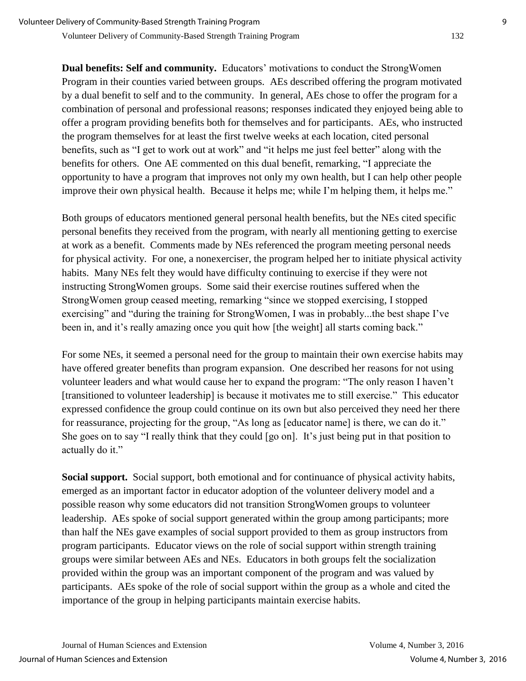**Dual benefits: Self and community.** Educators' motivations to conduct the StrongWomen Program in their counties varied between groups. AEs described offering the program motivated by a dual benefit to self and to the community. In general, AEs chose to offer the program for a combination of personal and professional reasons; responses indicated they enjoyed being able to offer a program providing benefits both for themselves and for participants. AEs, who instructed the program themselves for at least the first twelve weeks at each location, cited personal benefits, such as "I get to work out at work" and "it helps me just feel better" along with the benefits for others. One AE commented on this dual benefit, remarking, "I appreciate the opportunity to have a program that improves not only my own health, but I can help other people improve their own physical health. Because it helps me; while I'm helping them, it helps me."

Both groups of educators mentioned general personal health benefits, but the NEs cited specific personal benefits they received from the program, with nearly all mentioning getting to exercise at work as a benefit. Comments made by NEs referenced the program meeting personal needs for physical activity. For one, a nonexerciser, the program helped her to initiate physical activity habits. Many NEs felt they would have difficulty continuing to exercise if they were not instructing StrongWomen groups. Some said their exercise routines suffered when the StrongWomen group ceased meeting, remarking "since we stopped exercising, I stopped exercising" and "during the training for StrongWomen, I was in probably...the best shape I've been in, and it's really amazing once you quit how [the weight] all starts coming back."

For some NEs, it seemed a personal need for the group to maintain their own exercise habits may have offered greater benefits than program expansion. One described her reasons for not using volunteer leaders and what would cause her to expand the program: "The only reason I haven't [transitioned to volunteer leadership] is because it motivates me to still exercise." This educator expressed confidence the group could continue on its own but also perceived they need her there for reassurance, projecting for the group, "As long as [educator name] is there, we can do it." She goes on to say "I really think that they could [go on]. It's just being put in that position to actually do it."

**Social support.** Social support, both emotional and for continuance of physical activity habits, emerged as an important factor in educator adoption of the volunteer delivery model and a possible reason why some educators did not transition StrongWomen groups to volunteer leadership. AEs spoke of social support generated within the group among participants; more than half the NEs gave examples of social support provided to them as group instructors from program participants. Educator views on the role of social support within strength training groups were similar between AEs and NEs. Educators in both groups felt the socialization provided within the group was an important component of the program and was valued by participants. AEs spoke of the role of social support within the group as a whole and cited the importance of the group in helping participants maintain exercise habits.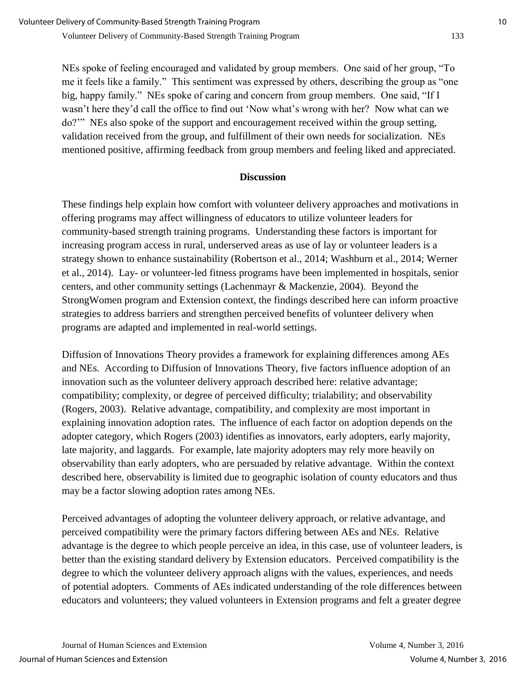NEs spoke of feeling encouraged and validated by group members. One said of her group, "To me it feels like a family." This sentiment was expressed by others, describing the group as "one big, happy family." NEs spoke of caring and concern from group members. One said, "If I wasn't here they'd call the office to find out 'Now what's wrong with her? Now what can we do?'" NEs also spoke of the support and encouragement received within the group setting, validation received from the group, and fulfillment of their own needs for socialization. NEs mentioned positive, affirming feedback from group members and feeling liked and appreciated.

## **Discussion**

These findings help explain how comfort with volunteer delivery approaches and motivations in offering programs may affect willingness of educators to utilize volunteer leaders for community-based strength training programs. Understanding these factors is important for increasing program access in rural, underserved areas as use of lay or volunteer leaders is a strategy shown to enhance sustainability (Robertson et al., 2014; Washburn et al., 2014; Werner et al., 2014). Lay- or volunteer-led fitness programs have been implemented in hospitals, senior centers, and other community settings (Lachenmayr & Mackenzie, 2004). Beyond the StrongWomen program and Extension context, the findings described here can inform proactive strategies to address barriers and strengthen perceived benefits of volunteer delivery when programs are adapted and implemented in real-world settings.

Diffusion of Innovations Theory provides a framework for explaining differences among AEs and NEs. According to Diffusion of Innovations Theory, five factors influence adoption of an innovation such as the volunteer delivery approach described here: relative advantage; compatibility; complexity, or degree of perceived difficulty; trialability; and observability (Rogers, 2003). Relative advantage, compatibility, and complexity are most important in explaining innovation adoption rates. The influence of each factor on adoption depends on the adopter category, which Rogers (2003) identifies as innovators, early adopters, early majority, late majority, and laggards. For example, late majority adopters may rely more heavily on observability than early adopters, who are persuaded by relative advantage. Within the context described here, observability is limited due to geographic isolation of county educators and thus may be a factor slowing adoption rates among NEs.

Perceived advantages of adopting the volunteer delivery approach, or relative advantage, and perceived compatibility were the primary factors differing between AEs and NEs. Relative advantage is the degree to which people perceive an idea, in this case, use of volunteer leaders, is better than the existing standard delivery by Extension educators. Perceived compatibility is the degree to which the volunteer delivery approach aligns with the values, experiences, and needs of potential adopters. Comments of AEs indicated understanding of the role differences between educators and volunteers; they valued volunteers in Extension programs and felt a greater degree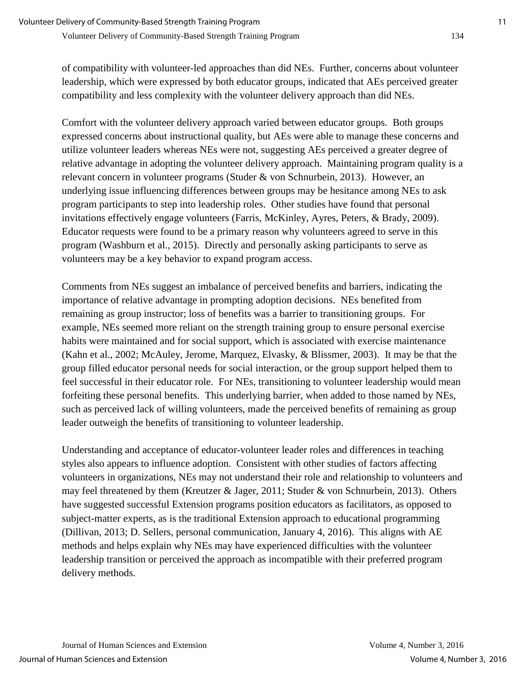of compatibility with volunteer-led approaches than did NEs. Further, concerns about volunteer leadership, which were expressed by both educator groups, indicated that AEs perceived greater compatibility and less complexity with the volunteer delivery approach than did NEs.

Comfort with the volunteer delivery approach varied between educator groups. Both groups expressed concerns about instructional quality, but AEs were able to manage these concerns and utilize volunteer leaders whereas NEs were not, suggesting AEs perceived a greater degree of relative advantage in adopting the volunteer delivery approach. Maintaining program quality is a relevant concern in volunteer programs (Studer & von Schnurbein, 2013). However, an underlying issue influencing differences between groups may be hesitance among NEs to ask program participants to step into leadership roles. Other studies have found that personal invitations effectively engage volunteers (Farris, McKinley, Ayres, Peters, & Brady, 2009). Educator requests were found to be a primary reason why volunteers agreed to serve in this program (Washburn et al., 2015). Directly and personally asking participants to serve as volunteers may be a key behavior to expand program access.

Comments from NEs suggest an imbalance of perceived benefits and barriers, indicating the importance of relative advantage in prompting adoption decisions. NEs benefited from remaining as group instructor; loss of benefits was a barrier to transitioning groups. For example, NEs seemed more reliant on the strength training group to ensure personal exercise habits were maintained and for social support, which is associated with exercise maintenance (Kahn et al., 2002; McAuley, Jerome, Marquez, Elvasky, & Blissmer, 2003). It may be that the group filled educator personal needs for social interaction, or the group support helped them to feel successful in their educator role. For NEs, transitioning to volunteer leadership would mean forfeiting these personal benefits. This underlying barrier, when added to those named by NEs, such as perceived lack of willing volunteers, made the perceived benefits of remaining as group leader outweigh the benefits of transitioning to volunteer leadership.

Understanding and acceptance of educator-volunteer leader roles and differences in teaching styles also appears to influence adoption. Consistent with other studies of factors affecting volunteers in organizations, NEs may not understand their role and relationship to volunteers and may feel threatened by them (Kreutzer & Jager, 2011; Studer & von Schnurbein, 2013). Others have suggested successful Extension programs position educators as facilitators, as opposed to subject-matter experts, as is the traditional Extension approach to educational programming (Dillivan, 2013; D. Sellers, personal communication, January 4, 2016). This aligns with AE methods and helps explain why NEs may have experienced difficulties with the volunteer leadership transition or perceived the approach as incompatible with their preferred program delivery methods.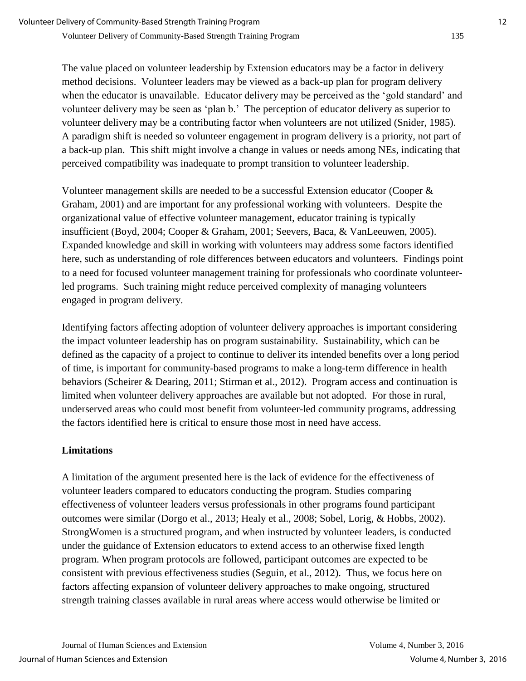The value placed on volunteer leadership by Extension educators may be a factor in delivery method decisions. Volunteer leaders may be viewed as a back-up plan for program delivery when the educator is unavailable. Educator delivery may be perceived as the 'gold standard' and volunteer delivery may be seen as 'plan b.' The perception of educator delivery as superior to volunteer delivery may be a contributing factor when volunteers are not utilized (Snider, 1985). A paradigm shift is needed so volunteer engagement in program delivery is a priority, not part of a back-up plan. This shift might involve a change in values or needs among NEs, indicating that perceived compatibility was inadequate to prompt transition to volunteer leadership.

Volunteer management skills are needed to be a successful Extension educator (Cooper & Graham, 2001) and are important for any professional working with volunteers. Despite the organizational value of effective volunteer management, educator training is typically insufficient (Boyd, 2004; Cooper & Graham, 2001; Seevers, Baca, & VanLeeuwen, 2005). Expanded knowledge and skill in working with volunteers may address some factors identified here, such as understanding of role differences between educators and volunteers. Findings point to a need for focused volunteer management training for professionals who coordinate volunteerled programs. Such training might reduce perceived complexity of managing volunteers engaged in program delivery.

Identifying factors affecting adoption of volunteer delivery approaches is important considering the impact volunteer leadership has on program sustainability. Sustainability, which can be defined as the capacity of a project to continue to deliver its intended benefits over a long period of time, is important for community-based programs to make a long-term difference in health behaviors (Scheirer & Dearing, 2011; Stirman et al., 2012). Program access and continuation is limited when volunteer delivery approaches are available but not adopted. For those in rural, underserved areas who could most benefit from volunteer-led community programs, addressing the factors identified here is critical to ensure those most in need have access.

## **Limitations**

A limitation of the argument presented here is the lack of evidence for the effectiveness of volunteer leaders compared to educators conducting the program. Studies comparing effectiveness of volunteer leaders versus professionals in other programs found participant outcomes were similar (Dorgo et al., 2013; Healy et al., 2008; Sobel, Lorig, & Hobbs, 2002). StrongWomen is a structured program, and when instructed by volunteer leaders, is conducted under the guidance of Extension educators to extend access to an otherwise fixed length program. When program protocols are followed, participant outcomes are expected to be consistent with previous effectiveness studies (Seguin, et al., 2012). Thus, we focus here on factors affecting expansion of volunteer delivery approaches to make ongoing, structured strength training classes available in rural areas where access would otherwise be limited or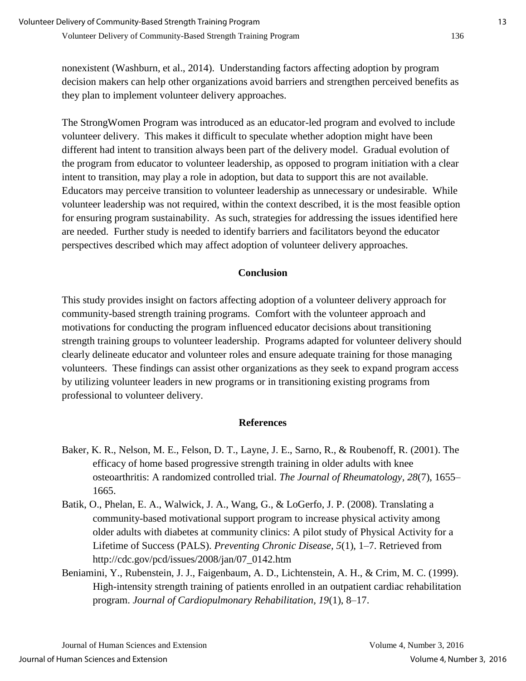nonexistent (Washburn, et al., 2014). Understanding factors affecting adoption by program decision makers can help other organizations avoid barriers and strengthen perceived benefits as they plan to implement volunteer delivery approaches.

The StrongWomen Program was introduced as an educator-led program and evolved to include volunteer delivery. This makes it difficult to speculate whether adoption might have been different had intent to transition always been part of the delivery model. Gradual evolution of the program from educator to volunteer leadership, as opposed to program initiation with a clear intent to transition, may play a role in adoption, but data to support this are not available. Educators may perceive transition to volunteer leadership as unnecessary or undesirable. While volunteer leadership was not required, within the context described, it is the most feasible option for ensuring program sustainability. As such, strategies for addressing the issues identified here are needed. Further study is needed to identify barriers and facilitators beyond the educator perspectives described which may affect adoption of volunteer delivery approaches.

#### **Conclusion**

This study provides insight on factors affecting adoption of a volunteer delivery approach for community-based strength training programs. Comfort with the volunteer approach and motivations for conducting the program influenced educator decisions about transitioning strength training groups to volunteer leadership. Programs adapted for volunteer delivery should clearly delineate educator and volunteer roles and ensure adequate training for those managing volunteers. These findings can assist other organizations as they seek to expand program access by utilizing volunteer leaders in new programs or in transitioning existing programs from professional to volunteer delivery.

#### **References**

- Baker, K. R., Nelson, M. E., Felson, D. T., Layne, J. E., Sarno, R., & Roubenoff, R. (2001). The efficacy of home based progressive strength training in older adults with knee osteoarthritis: A randomized controlled trial. *The Journal of Rheumatology, 28*(7), 1655– 1665.
- Batik, O., Phelan, E. A., Walwick, J. A., Wang, G., & LoGerfo, J. P. (2008). Translating a community-based motivational support program to increase physical activity among older adults with diabetes at community clinics: A pilot study of Physical Activity for a Lifetime of Success (PALS). *Preventing Chronic Disease, 5*(1), 1–7. Retrieved from http://cdc.gov/pcd/issues/2008/jan/07\_0142.htm
- Beniamini, Y., Rubenstein, J. J., Faigenbaum, A. D., Lichtenstein, A. H., & Crim, M. C. (1999). High-intensity strength training of patients enrolled in an outpatient cardiac rehabilitation program. *Journal of Cardiopulmonary Rehabilitation, 19*(1), 8–17.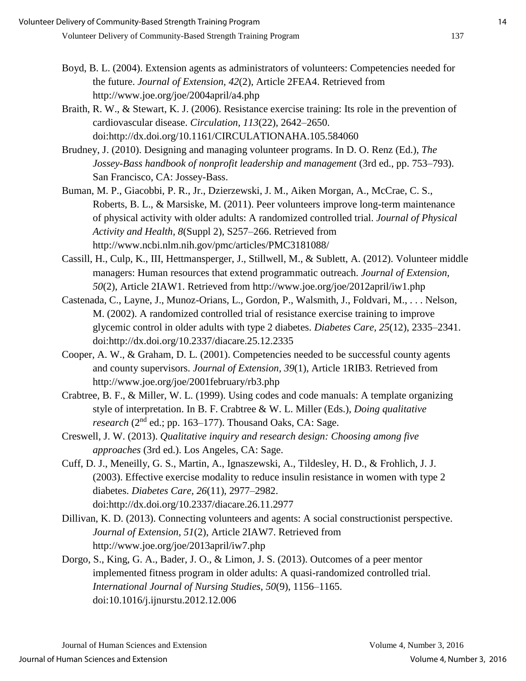- Boyd, B. L. (2004). Extension agents as administrators of volunteers: Competencies needed for the future. *Journal of Extension, 42*(2), Article 2FEA4. Retrieved from http://www.joe.org/joe/2004april/a4.php
- Braith, R. W., & Stewart, K. J. (2006). Resistance exercise training: Its role in the prevention of cardiovascular disease. *Circulation, 113*(22), 2642–2650. doi:http://dx.doi.org/10.1161/CIRCULATIONAHA.105.584060
- Brudney, J. (2010). Designing and managing volunteer programs. In D. O. Renz (Ed.), *The Jossey-Bass handbook of nonprofit leadership and management* (3rd ed., pp. 753–793). San Francisco, CA: Jossey-Bass.
- Buman, M. P., Giacobbi, P. R., Jr., Dzierzewski, J. M., Aiken Morgan, A., McCrae, C. S., Roberts, B. L., & Marsiske, M. (2011). Peer volunteers improve long-term maintenance of physical activity with older adults: A randomized controlled trial. *Journal of Physical Activity and Health, 8*(Suppl 2), S257–266. Retrieved from http://www.ncbi.nlm.nih.gov/pmc/articles/PMC3181088/
- Cassill, H., Culp, K., III, Hettmansperger, J., Stillwell, M., & Sublett, A. (2012). Volunteer middle managers: Human resources that extend programmatic outreach. *Journal of Extension, 50*(2), Article 2IAW1. Retrieved from http://www.joe.org/joe/2012april/iw1.php
- Castenada, C., Layne, J., Munoz-Orians, L., Gordon, P., Walsmith, J., Foldvari, M., . . . Nelson, M. (2002). A randomized controlled trial of resistance exercise training to improve glycemic control in older adults with type 2 diabetes. *Diabetes Care, 25*(12), 2335–2341. doi:http://dx.doi.org/10.2337/diacare.25.12.2335
- Cooper, A. W., & Graham, D. L. (2001). Competencies needed to be successful county agents and county supervisors. *Journal of Extension, 39*(1), Article 1RIB3. Retrieved from http://www.joe.org/joe/2001february/rb3.php
- Crabtree, B. F., & Miller, W. L. (1999). Using codes and code manuals: A template organizing style of interpretation. In B. F. Crabtree & W. L. Miller (Eds.), *Doing qualitative research* (2nd ed.; pp. 163–177). Thousand Oaks, CA: Sage.
- Creswell, J. W. (2013). *Qualitative inquiry and research design: Choosing among five approaches* (3rd ed.). Los Angeles, CA: Sage.
- Cuff, D. J., Meneilly, G. S., Martin, A., Ignaszewski, A., Tildesley, H. D., & Frohlich, J. J. (2003). Effective exercise modality to reduce insulin resistance in women with type 2 diabetes. *Diabetes Care, 26*(11), 2977–2982. doi:http://dx.doi.org/10.2337/diacare.26.11.2977
- Dillivan, K. D. (2013). Connecting volunteers and agents: A social constructionist perspective. *Journal of Extension, 51*(2), Article 2IAW7. Retrieved from http://www.joe.org/joe/2013april/iw7.php
- Dorgo, S., King, G. A., Bader, J. O., & Limon, J. S. (2013). Outcomes of a peer mentor implemented fitness program in older adults: A quasi-randomized controlled trial. *International Journal of Nursing Studies, 50*(9), 1156–1165. doi:10.1016/j.ijnurstu.2012.12.006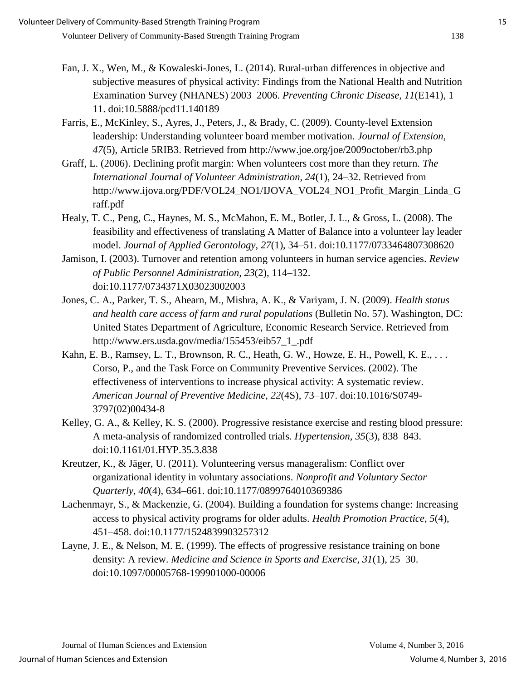- Fan, J. X., Wen, M., & Kowaleski-Jones, L. (2014). Rural-urban differences in objective and subjective measures of physical activity: Findings from the National Health and Nutrition Examination Survey (NHANES) 2003–2006. *Preventing Chronic Disease, 11*(E141), 1– 11. doi:10.5888/pcd11.140189
- Farris, E., McKinley, S., Ayres, J., Peters, J., & Brady, C. (2009). County-level Extension leadership: Understanding volunteer board member motivation. *Journal of Extension, 47*(5), Article 5RIB3. Retrieved from http://www.joe.org/joe/2009october/rb3.php
- Graff, L. (2006). Declining profit margin: When volunteers cost more than they return. *The International Journal of Volunteer Administration, 24*(1), 24–32. Retrieved from http://www.ijova.org/PDF/VOL24\_NO1/IJOVA\_VOL24\_NO1\_Profit\_Margin\_Linda\_G raff.pdf
- Healy, T. C., Peng, C., Haynes, M. S., McMahon, E. M., Botler, J. L., & Gross, L. (2008). The feasibility and effectiveness of translating A Matter of Balance into a volunteer lay leader model. *Journal of Applied Gerontology, 27*(1), 34–51. doi:10.1177/0733464807308620
- Jamison, I. (2003). Turnover and retention among volunteers in human service agencies. *Review of Public Personnel Administration, 23*(2), 114–132. doi:10.1177/0734371X03023002003
- Jones, C. A., Parker, T. S., Ahearn, M., Mishra, A. K., & Variyam, J. N. (2009). *Health status and health care access of farm and rural populations* (Bulletin No. 57). Washington, DC: United States Department of Agriculture, Economic Research Service. Retrieved from http://www.ers.usda.gov/media/155453/eib57\_1\_.pdf
- Kahn, E. B., Ramsey, L. T., Brownson, R. C., Heath, G. W., Howze, E. H., Powell, K. E., . . . Corso, P., and the Task Force on Community Preventive Services. (2002). The effectiveness of interventions to increase physical activity: A systematic review. *American Journal of Preventive Medicine, 22*(4S), 73–107. doi:10.1016/S0749- 3797(02)00434-8
- Kelley, G. A., & Kelley, K. S. (2000). Progressive resistance exercise and resting blood pressure: A meta-analysis of randomized controlled trials. *Hypertension, 35*(3), 838–843. doi:10.1161/01.HYP.35.3.838
- Kreutzer, K., & Jäger, U. (2011). Volunteering versus manageralism: Conflict over organizational identity in voluntary associations. *Nonprofit and Voluntary Sector Quarterly, 40*(4), 634–661. doi:10.1177/0899764010369386
- Lachenmayr, S., & Mackenzie, G. (2004). Building a foundation for systems change: Increasing access to physical activity programs for older adults. *Health Promotion Practice, 5*(4), 451–458. doi:10.1177/1524839903257312
- Layne, J. E., & Nelson, M. E. (1999). The effects of progressive resistance training on bone density: A review. *Medicine and Science in Sports and Exercise, 31*(1), 25–30. doi:10.1097/00005768-199901000-00006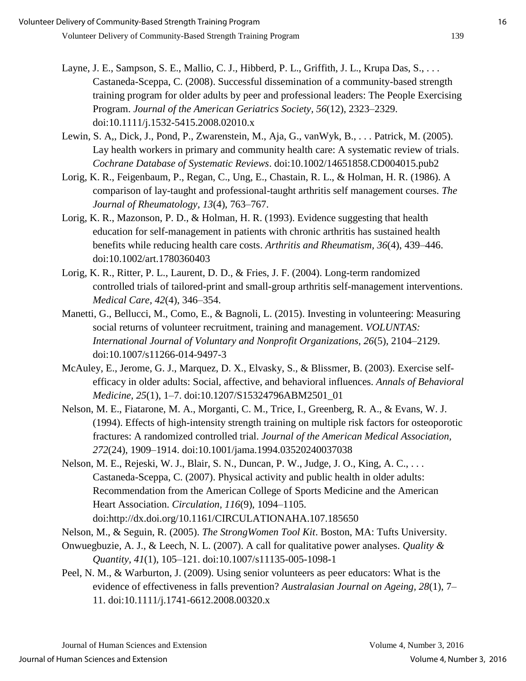- Layne, J. E., Sampson, S. E., Mallio, C. J., Hibberd, P. L., Griffith, J. L., Krupa Das, S., . . . Castaneda-Sceppa, C. (2008). Successful dissemination of a community-based strength training program for older adults by peer and professional leaders: The People Exercising Program. *Journal of the American Geriatrics Society, 56*(12), 2323–2329. doi:10.1111/j.1532-5415.2008.02010.x
- Lewin, S. A,, Dick, J., Pond, P., Zwarenstein, M., Aja, G., vanWyk, B., . . . Patrick, M. (2005). Lay health workers in primary and community health care: A systematic review of trials. *Cochrane Database of Systematic Reviews*. doi:10.1002/14651858.CD004015.pub2
- Lorig, K. R., Feigenbaum, P., Regan, C., Ung, E., Chastain, R. L., & Holman, H. R. (1986). A comparison of lay-taught and professional-taught arthritis self management courses. *The Journal of Rheumatology, 13*(4), 763–767.
- Lorig, K. R., Mazonson, P. D., & Holman, H. R. (1993). Evidence suggesting that health education for self-management in patients with chronic arthritis has sustained health benefits while reducing health care costs. *Arthritis and Rheumatism, 36*(4), 439–446. doi:10.1002/art.1780360403
- Lorig, K. R., Ritter, P. L., Laurent, D. D., & Fries, J. F. (2004). Long-term randomized controlled trials of tailored-print and small-group arthritis self-management interventions. *Medical Care, 42*(4), 346–354.
- Manetti, G., Bellucci, M., Como, E., & Bagnoli, L. (2015). Investing in volunteering: Measuring social returns of volunteer recruitment, training and management. *VOLUNTAS: International Journal of Voluntary and Nonprofit Organizations, 26*(5), 2104–2129. doi:10.1007/s11266-014-9497-3
- McAuley, E., Jerome, G. J., Marquez, D. X., Elvasky, S., & Blissmer, B. (2003). Exercise selfefficacy in older adults: Social, affective, and behavioral influences. *Annals of Behavioral Medicine, 25*(1), 1–7. doi:10.1207/S15324796ABM2501\_01
- Nelson, M. E., Fiatarone, M. A., Morganti, C. M., Trice, I., Greenberg, R. A., & Evans, W. J. (1994). Effects of high-intensity strength training on multiple risk factors for osteoporotic fractures: A randomized controlled trial. *Journal of the American Medical Association, 272*(24), 1909–1914. doi:10.1001/jama.1994.03520240037038
- Nelson, M. E., Rejeski, W. J., Blair, S. N., Duncan, P. W., Judge, J. O., King, A. C., . . . Castaneda-Sceppa, C. (2007). Physical activity and public health in older adults: Recommendation from the American College of Sports Medicine and the American Heart Association. *Circulation, 116*(9), 1094–1105. doi:http://dx.doi.org/10.1161/CIRCULATIONAHA.107.185650
- Nelson, M., & Seguin, R. (2005). *The StrongWomen Tool Kit*. Boston, MA: Tufts University.
- Onwuegbuzie, A. J., & Leech, N. L. (2007). A call for qualitative power analyses. *Quality & Quantity, 41*(1), 105–121. doi:10.1007/s11135-005-1098-1
- Peel, N. M., & Warburton, J. (2009). Using senior volunteers as peer educators: What is the evidence of effectiveness in falls prevention? *Australasian Journal on Ageing, 28*(1), 7– 11. doi:10.1111/j.1741-6612.2008.00320.x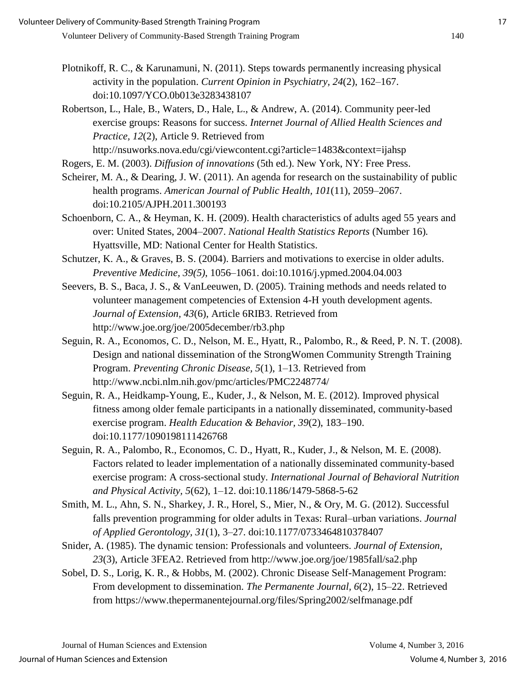- Plotnikoff, R. C., & Karunamuni, N. (2011). Steps towards permanently increasing physical activity in the population. *Current Opinion in Psychiatry, 24*(2), 162–167. doi:10.1097/YCO.0b013e3283438107
- Robertson, L., Hale, B., Waters, D., Hale, L., & Andrew, A. (2014). Community peer-led exercise groups: Reasons for success. *Internet Journal of Allied Health Sciences and Practice, 12*(2), Article 9. Retrieved from http://nsuworks.nova.edu/cgi/viewcontent.cgi?article=1483&context=ijahsp

Rogers, E. M. (2003). *Diffusion of innovations* (5th ed.). New York, NY: Free Press.

- Scheirer, M. A., & Dearing, J. W. (2011). An agenda for research on the sustainability of public health programs. *American Journal of Public Health, 101*(11), 2059–2067. doi:10.2105/AJPH.2011.300193
- Schoenborn, C. A., & Heyman, K. H. (2009). Health characteristics of adults aged 55 years and over: United States, 2004–2007. *National Health Statistics Reports* (Number 16)*.* Hyattsville, MD: National Center for Health Statistics.
- Schutzer, K. A., & Graves, B. S. (2004). Barriers and motivations to exercise in older adults. *Preventive Medicine, 39(5)*, 1056–1061. doi:10.1016/j.ypmed.2004.04.003
- Seevers, B. S., Baca, J. S., & VanLeeuwen, D. (2005). Training methods and needs related to volunteer management competencies of Extension 4-H youth development agents. *Journal of Extension, 43*(6), Article 6RIB3. Retrieved from http://www.joe.org/joe/2005december/rb3.php
- Seguin, R. A., Economos, C. D., Nelson, M. E., Hyatt, R., Palombo, R., & Reed, P. N. T. (2008). Design and national dissemination of the StrongWomen Community Strength Training Program. *Preventing Chronic Disease, 5*(1), 1–13. Retrieved from http://www.ncbi.nlm.nih.gov/pmc/articles/PMC2248774/
- Seguin, R. A., Heidkamp-Young, E., Kuder, J., & Nelson, M. E. (2012). Improved physical fitness among older female participants in a nationally disseminated, community-based exercise program. *Health Education & Behavior, 39*(2), 183–190. doi:10.1177/1090198111426768
- Seguin, R. A., Palombo, R., Economos, C. D., Hyatt, R., Kuder, J., & Nelson, M. E. (2008). Factors related to leader implementation of a nationally disseminated community-based exercise program: A cross-sectional study. *International Journal of Behavioral Nutrition and Physical Activity, 5*(62), 1–12. doi:10.1186/1479-5868-5-62
- Smith, M. L., Ahn, S. N., Sharkey, J. R., Horel, S., Mier, N., & Ory, M. G. (2012). Successful falls prevention programming for older adults in Texas: Rural–urban variations. *Journal of Applied Gerontology, 31*(1), 3–27. doi:10.1177/0733464810378407
- Snider, A. (1985). The dynamic tension: Professionals and volunteers. *Journal of Extension, 23*(3), Article 3FEA2. Retrieved from http://www.joe.org/joe/1985fall/sa2.php
- Sobel, D. S., Lorig, K. R., & Hobbs, M. (2002). Chronic Disease Self-Management Program: From development to dissemination. *The Permanente Journal, 6*(2), 15–22. Retrieved from https://www.thepermanentejournal.org/files/Spring2002/selfmanage.pdf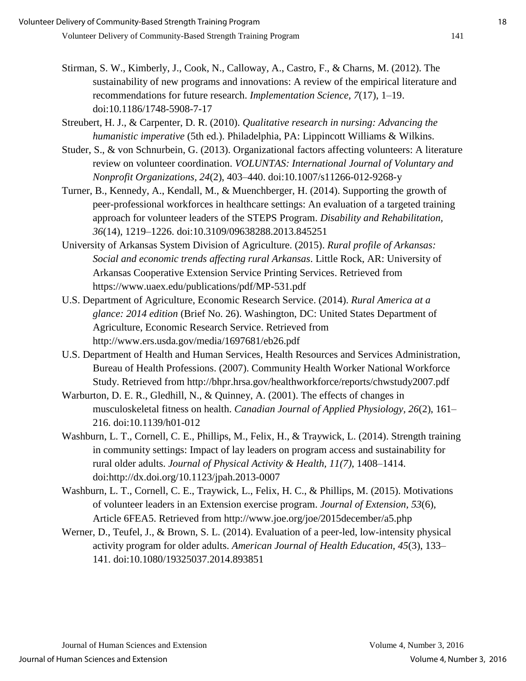- Stirman, S. W., Kimberly, J., Cook, N., Calloway, A., Castro, F., & Charns, M. (2012). The sustainability of new programs and innovations: A review of the empirical literature and recommendations for future research. *Implementation Science, 7*(17), 1–19. doi:10.1186/1748-5908-7-17
- Streubert, H. J., & Carpenter, D. R. (2010). *Qualitative research in nursing: Advancing the humanistic imperative* (5th ed.). Philadelphia, PA: Lippincott Williams & Wilkins.
- Studer, S., & von Schnurbein, G. (2013). Organizational factors affecting volunteers: A literature review on volunteer coordination. *VOLUNTAS: International Journal of Voluntary and Nonprofit Organizations, 24*(2), 403–440. doi:10.1007/s11266-012-9268-y
- Turner, B., Kennedy, A., Kendall, M., & Muenchberger, H. (2014). Supporting the growth of peer-professional workforces in healthcare settings: An evaluation of a targeted training approach for volunteer leaders of the STEPS Program. *Disability and Rehabilitation, 36*(14), 1219–1226. doi:10.3109/09638288.2013.845251
- University of Arkansas System Division of Agriculture. (2015). *Rural profile of Arkansas: Social and economic trends affecting rural Arkansas*. Little Rock, AR: University of Arkansas Cooperative Extension Service Printing Services. Retrieved from https://www.uaex.edu/publications/pdf/MP-531.pdf
- U.S. Department of Agriculture, Economic Research Service. (2014). *Rural America at a glance: 2014 edition* (Brief No. 26). Washington, DC: United States Department of Agriculture, Economic Research Service. Retrieved from http://www.ers.usda.gov/media/1697681/eb26.pdf
- U.S. Department of Health and Human Services, Health Resources and Services Administration, Bureau of Health Professions. (2007). Community Health Worker National Workforce Study. Retrieved from http://bhpr.hrsa.gov/healthworkforce/reports/chwstudy2007.pdf
- Warburton, D. E. R., Gledhill, N., & Quinney, A. (2001). The effects of changes in musculoskeletal fitness on health. *Canadian Journal of Applied Physiology, 26*(2), 161– 216. doi:10.1139/h01-012
- Washburn, L. T., Cornell, C. E., Phillips, M., Felix, H., & Traywick, L. (2014). Strength training in community settings: Impact of lay leaders on program access and sustainability for rural older adults. *Journal of Physical Activity & Health, 11(7)*, 1408–1414. doi:http://dx.doi.org/10.1123/jpah.2013-0007
- Washburn, L. T., Cornell, C. E., Traywick, L., Felix, H. C., & Phillips, M. (2015). Motivations of volunteer leaders in an Extension exercise program. *Journal of Extension, 53*(6), Article 6FEA5. Retrieved from http://www.joe.org/joe/2015december/a5.php
- Werner, D., Teufel, J., & Brown, S. L. (2014). Evaluation of a peer-led, low-intensity physical activity program for older adults. *American Journal of Health Education, 45*(3), 133– 141. doi:10.1080/19325037.2014.893851